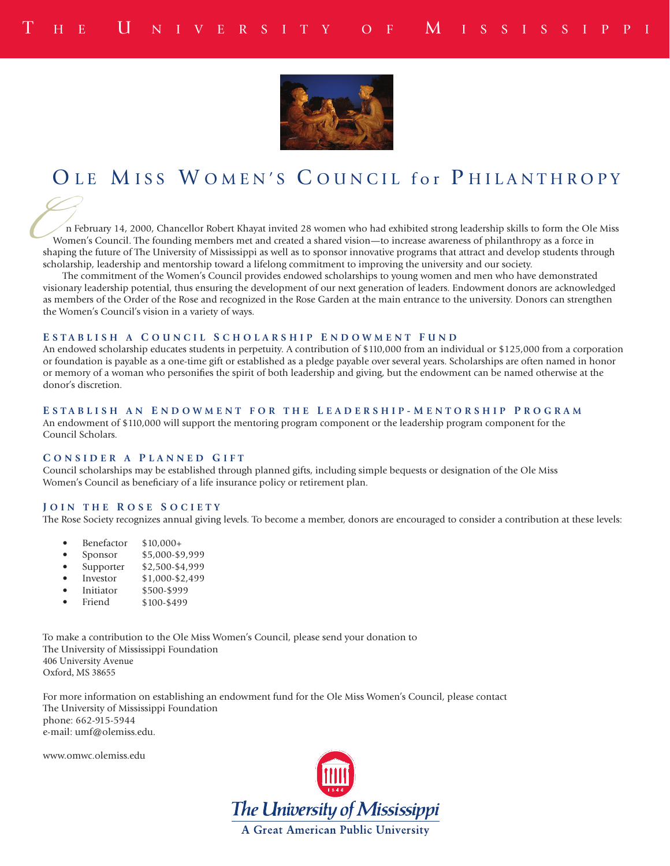

# OLE MISS WOMEN'S COUNCIL for PHILANTHROPY

 n February 14, 2000, Chancellor Robert Khayat invited 28 women who had exhibited strong leadership skills to form the Ole Miss Women's Council. The founding members met and created a shared vision—to increase awareness of philanthropy as a force in shaping the future of The University of Mississippi as well as to sponsor innovative programs that attract and develop students through scholarship, leadership and mentorship toward a lifelong commitment to improving the university and our society. **C**<br>
Shap<br>
scho

The commitment of the Women's Council provides endowed scholarships to young women and men who have demonstrated visionary leadership potential, thus ensuring the development of our next generation of leaders. Endowment donors are acknowledged as members of the Order of the Rose and recognized in the Rose Garden at the main entrance to the university. Donors can strengthen the Women's Council's vision in a variety of ways.

#### **E STABLISH A C OUNCIL S CHOLARSHIP E NDOWMENT F UND**

An endowed scholarship educates students in perpetuity. A contribution of \$110,000 from an individual or \$125,000 from a corporation or foundation is payable as a one-time gift or established as a pledge payable over several years. Scholarships are often named in honor or memory of a woman who personifies the spirit of both leadership and giving, but the endowment can be named otherwise at the donor's discretion.

#### **E STABLISH AN E NDOWMENT FOR THE L EADERSHIP - M ENTORSHIP P ROGRAM**

An endowment of \$110,000 will support the mentoring program component or the leadership program component for the Council Scholars.

#### **C ONSIDER A P LANNED G IFT**

Council scholarships may be established through planned gifts, including simple bequests or designation of the Ole Miss Women's Council as beneficiary of a life insurance policy or retirement plan.

#### **J OIN THE R OSE S OCIETY**

The Rose Society recognizes annual giving levels. To become a member, donors are encouraged to consider a contribution at these levels:

- **Benefactor** \$10,000+
- Sponsor \$5,000-\$9,999
- **Supporter** \$2,500-\$4,999
- **Investor** \$1,000-\$2,499
- Initiator \$500-\$999
- Friend \$100-\$499

To make a contribution to the Ole Miss Women's Council, please send your donation to The University of Mississippi Foundation 406 University Avenue Oxford, MS 38655

For more information on establishing an endowment fund for the Ole Miss Women's Council, please contact The University of Mississippi Foundation phone: 662-915-5944 e-mail: umf@olemiss.edu.

www.omwc.olemiss.edu

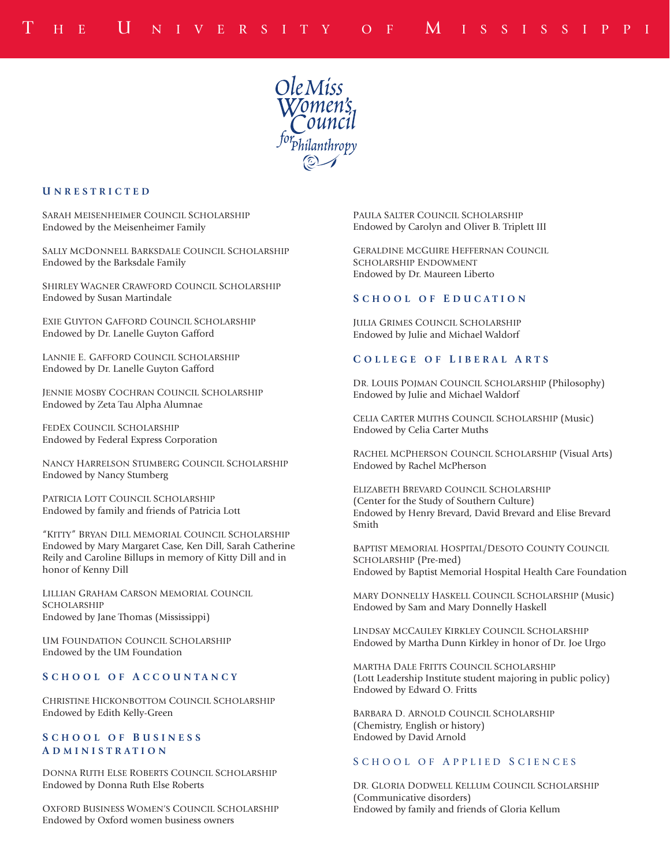

#### **U NRESTRICTED**

SARAH MEISENHEIMER COUNCIL SCHOLARSHIP Endowed by the Meisenheimer Family

SALLY MCDONNELL BARKSDALE COUNCIL SCHOLARSHIP Endowed by the Barksdale Family

SHIRLEY WAGNER CRAWFORD COUNCIL SCHOLARSHIP Endowed by Susan Martindale

EXIE GUYTON GAFFORD COUNCIL SCHOLARSHIP Endowed by Dr. Lanelle Guyton Gafford

LANNIE E. GAFFORD COUNCIL SCHOLARSHIP Endowed by Dr. Lanelle Guyton Gafford

JENNIE MOSBY COCHRAN COUNCIL SCHOLARSHIP Endowed by Zeta Tau Alpha Alumnae

FEDEX COUNCIL SCHOLARSHIP Endowed by Federal Express Corporation

NANCY HARRELSON STUMBERG COUNCIL SCHOLARSHIP Endowed by Nancy Stumberg

PATRICIA LOTT COUNCIL SCHOLARSHIP Endowed by family and friends of Patricia Lott

"KITTY" BRYAN DILL MEMORIAL COUNCIL SCHOLARSHIP Endowed by Mary Margaret Case, Ken Dill, Sarah Catherine Reily and Caroline Billups in memory of Kitty Dill and in honor of Kenny Dill

LILLIAN GRAHAM CARSON MEMORIAL COUNCIL SCHOLARSHIP Endowed by Jane Thomas (Mississippi)

UM FOUNDATION COUNCIL SCHOLARSHIP Endowed by the UM Foundation

# **S CHOOL OF A CCOUNTANCY**

CHRISTINE HICKONBOTTOM COUNCIL SCHOLARSHIP Endowed by Edith Kelly-Green

### **S CHOOL OF B U S I N E S S A DMINISTRATION**

DONNA RUTH ELSE ROBERTS COUNCIL SCHOLARSHIP Endowed by Donna Ruth Else Roberts

OXFORD BUSINESS WOMEN'S COUNCIL SCHOLARSHIP Endowed by Oxford women business owners

PAULA SALTER COUNCIL SCHOLARSHIP Endowed by Carolyn and Oliver B. Triplett III

GERALDINE MCGUIRE HEFFERNAN COUNCIL SCHOLARSHIP ENDOWMENT Endowed by Dr. Maureen Liberto

#### **S CHOOL OF E DUCATION**

JULIA GRIMES COUNCIL SCHOLARSHIP Endowed by Julie and Michael Waldorf

#### **C OLLEGE OF L IBERAL A RTS**

DR. LOUIS POJMAN COUNCIL SCHOLARSHIP (Philosophy) Endowed by Julie and Michael Waldorf

CELIA CARTER MUTHS COUNCIL SCHOLARSHIP (Music) Endowed by Celia Carter Muths

RACHEL MCPHERSON COUNCIL SCHOLARSHIP (Visual Arts) Endowed by Rachel McPherson

ELIZABETH BREVARD COUNCIL SCHOLARSHIP (Center for the Study of Southern Culture) Endowed by Henry Brevard, David Brevard and Elise Brevard Smith

BAPTIST MEMORIAL HOSPITAL/DESOTO COUNTY COUNCIL SCHOLARSHIP (Pre-med) Endowed by Baptist Memorial Hospital Health Care Foundation

MARY DONNELLY HASKELL COUNCIL SCHOLARSHIP (Music) Endowed by Sam and Mary Donnelly Haskell

LINDSAY MCCAULEY KIRKLEY COUNCIL SCHOLARSHIP Endowed by Martha Dunn Kirkley in honor of Dr. Joe Urgo

MARTHA DALE FRITTS COUNCIL SCHOLARSHIP (Lott Leadership Institute student majoring in public policy) Endowed by Edward O. Fritts

BARBARA D. ARNOLD COUNCIL SCHOLARSHIP (Chemistry, English or history) Endowed by David Arnold

#### S CHOOL OF A PPLIED S CIENCES

DR. GLORIA DODWELL KELLUM COUNCIL SCHOLARSHIP (Communicative disorders) Endowed by family and friends of Gloria Kellum